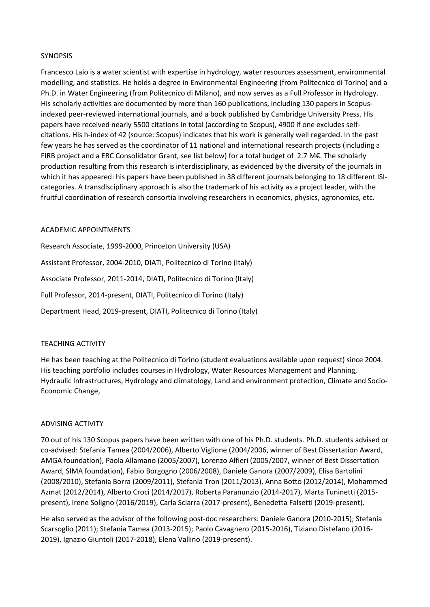## SYNOPSIS

Francesco Laio is a water scientist with expertise in hydrology, water resources assessment, environmental modelling, and statistics. He holds a degree in Environmental Engineering (from Politecnico di Torino) and a Ph.D. in Water Engineering (from Politecnico di Milano), and now serves as a Full Professor in Hydrology. His scholarly activities are documented by more than 160 publications, including 130 papers in Scopusindexed peer-reviewed international journals, and a book published by Cambridge University Press. His papers have received nearly 5500 citations in total (according to Scopus), 4900 if one excludes selfcitations. His h-index of 42 (source: Scopus) indicates that his work is generally well regarded. In the past few years he has served as the coordinator of 11 national and international research projects (including a FIRB project and a ERC Consolidator Grant, see list below) for a total budget of 2.7 M€. The scholarly production resulting from this research is interdisciplinary, as evidenced by the diversity of the journals in which it has appeared: his papers have been published in 38 different journals belonging to 18 different ISIcategories. A transdisciplinary approach is also the trademark of his activity as a project leader, with the fruitful coordination of research consortia involving researchers in economics, physics, agronomics, etc.

#### ACADEMIC APPOINTMENTS

Research Associate, 1999-2000, Princeton University (USA) Assistant Professor, 2004-2010, DIATI, Politecnico di Torino (Italy) Associate Professor, 2011-2014, DIATI, Politecnico di Torino (Italy) Full Professor, 2014-present, DIATI, Politecnico di Torino (Italy) Department Head, 2019-present, DIATI, Politecnico di Torino (Italy)

# TEACHING ACTIVITY

He has been teaching at the Politecnico di Torino (student evaluations available upon request) since 2004. His teaching portfolio includes courses in Hydrology, Water Resources Management and Planning, Hydraulic Infrastructures, Hydrology and climatology, Land and environment protection, Climate and Socio-Economic Change,

# ADVISING ACTIVITY

70 out of his 130 Scopus papers have been written with one of his Ph.D. students. Ph.D. students advised or co-advised: Stefania Tamea (2004/2006), Alberto Viglione (2004/2006, winner of Best Dissertation Award, AMGA foundation), Paola Allamano (2005/2007), Lorenzo Alfieri (2005/2007, winner of Best Dissertation Award, SIMA foundation), Fabio Borgogno (2006/2008), Daniele Ganora (2007/2009), Elisa Bartolini (2008/2010), Stefania Borra (2009/2011), Stefania Tron (2011/2013), Anna Botto (2012/2014), Mohammed Azmat (2012/2014), Alberto Croci (2014/2017), Roberta Paranunzio (2014-2017), Marta Tuninetti (2015 present), Irene Soligno (2016/2019), Carla Sciarra (2017-present), Benedetta Falsetti (2019-present).

He also served as the advisor of the following post-doc researchers: Daniele Ganora (2010-2015); Stefania Scarsoglio (2011); Stefania Tamea (2013-2015); Paolo Cavagnero (2015-2016), Tiziano Distefano (2016- 2019), Ignazio Giuntoli (2017-2018), Elena Vallino (2019-present).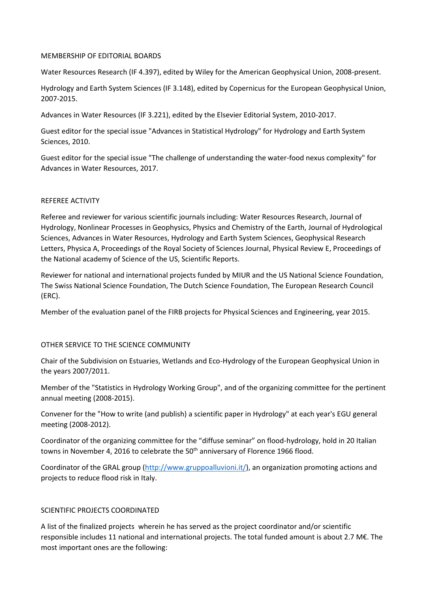#### MEMBERSHIP OF EDITORIAL BOARDS

Water Resources Research (IF 4.397), edited by Wiley for the American Geophysical Union, 2008-present.

Hydrology and Earth System Sciences (IF 3.148), edited by Copernicus for the European Geophysical Union, 2007-2015.

Advances in Water Resources (IF 3.221), edited by the Elsevier Editorial System, 2010-2017.

Guest editor for the special issue "Advances in Statistical Hydrology" for Hydrology and Earth System Sciences, 2010.

Guest editor for the special issue "The challenge of understanding the water-food nexus complexity" for Advances in Water Resources, 2017.

#### REFEREE ACTIVITY

Referee and reviewer for various scientific journals including: Water Resources Research, Journal of Hydrology, Nonlinear Processes in Geophysics, Physics and Chemistry of the Earth, Journal of Hydrological Sciences, Advances in Water Resources, Hydrology and Earth System Sciences, Geophysical Research Letters, Physica A, Proceedings of the Royal Society of Sciences Journal, Physical Review E, Proceedings of the National academy of Science of the US, Scientific Reports.

Reviewer for national and international projects funded by MIUR and the US National Science Foundation, The Swiss National Science Foundation, The Dutch Science Foundation, The European Research Council (ERC).

Member of the evaluation panel of the FIRB projects for Physical Sciences and Engineering, year 2015.

#### OTHER SERVICE TO THE SCIENCE COMMUNITY

Chair of the Subdivision on Estuaries, Wetlands and Eco-Hydrology of the European Geophysical Union in the years 2007/2011.

Member of the "Statistics in Hydrology Working Group", and of the organizing committee for the pertinent annual meeting (2008-2015).

Convener for the "How to write (and publish) a scientific paper in Hydrology" at each year's EGU general meeting (2008-2012).

Coordinator of the organizing committee for the "diffuse seminar" on flood-hydrology, hold in 20 Italian towns in November 4, 2016 to celebrate the  $50<sup>th</sup>$  anniversary of Florence 1966 flood.

Coordinator of the GRAL group [\(http://www.gruppoalluvioni.it/\)](http://www.gruppoalluvioni.it/), an organization promoting actions and projects to reduce flood risk in Italy.

#### SCIENTIFIC PROJECTS COORDINATED

A list of the finalized projects wherein he has served as the project coordinator and/or scientific responsible includes 11 national and international projects. The total funded amount is about 2.7 M€. The most important ones are the following: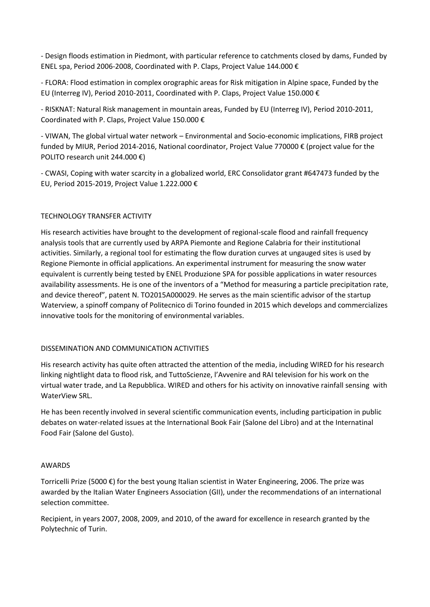- Design floods estimation in Piedmont, with particular reference to catchments closed by dams, Funded by ENEL spa, Period 2006-2008, Coordinated with P. Claps, Project Value 144.000 €

- FLORA: Flood estimation in complex orographic areas for Risk mitigation in Alpine space, Funded by the EU (Interreg IV), Period 2010-2011, Coordinated with P. Claps, Project Value 150.000 €

- RISKNAT: Natural Risk management in mountain areas, Funded by EU (Interreg IV), Period 2010-2011, Coordinated with P. Claps, Project Value 150.000 €

- VIWAN, The global virtual water network – Environmental and Socio-economic implications, FIRB project funded by MIUR, Period 2014-2016, National coordinator, Project Value 770000 € (project value for the POLITO research unit 244.000 €)

- CWASI, Coping with water scarcity in a globalized world, ERC Consolidator grant #647473 funded by the EU, Period 2015-2019, Project Value 1.222.000 €

## TECHNOLOGY TRANSFER ACTIVITY

His research activities have brought to the development of regional-scale flood and rainfall frequency analysis tools that are currently used by ARPA Piemonte and Regione Calabria for their institutional activities. Similarly, a regional tool for estimating the flow duration curves at ungauged sites is used by Regione Piemonte in official applications. An experimental instrument for measuring the snow water equivalent is currently being tested by ENEL Produzione SPA for possible applications in water resources availability assessments. He is one of the inventors of a "Method for measuring a particle precipitation rate, and device thereof", patent N. TO2015A000029. He serves as the main scientific advisor of the startup Waterview, a spinoff company of Politecnico di Torino founded in 2015 which develops and commercializes innovative tools for the monitoring of environmental variables.

#### DISSEMINATION AND COMMUNICATION ACTIVITIES

His research activity has quite often attracted the attention of the media, including WIRED for his research linking nightlight data to flood risk, and TuttoScienze, l'Avvenire and RAI television for his work on the virtual water trade, and La Repubblica. WIRED and others for his activity on innovative rainfall sensing with WaterView SRL.

He has been recently involved in several scientific communication events, including participation in public debates on water-related issues at the International Book Fair (Salone del Libro) and at the Internatinal Food Fair (Salone del Gusto).

#### AWARDS

Torricelli Prize (5000 €) for the best young Italian scientist in Water Engineering, 2006. The prize was awarded by the Italian Water Engineers Association (GII), under the recommendations of an international selection committee.

Recipient, in years 2007, 2008, 2009, and 2010, of the award for excellence in research granted by the Polytechnic of Turin.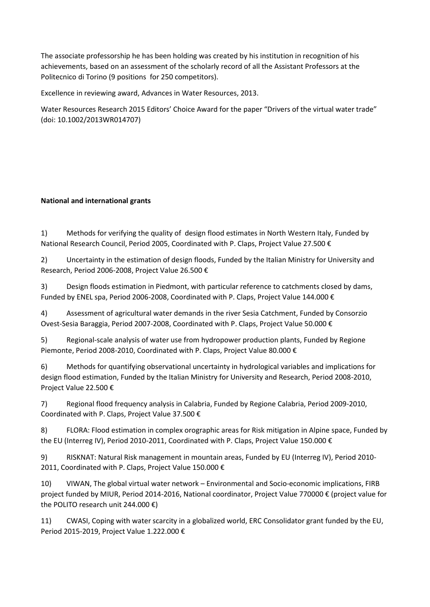The associate professorship he has been holding was created by his institution in recognition of his achievements, based on an assessment of the scholarly record of all the Assistant Professors at the Politecnico di Torino (9 positions for 250 competitors).

Excellence in reviewing award, Advances in Water Resources, 2013.

Water Resources Research 2015 Editors' Choice Award for the paper "Drivers of the virtual water trade" (doi: 10.1002/2013WR014707)

# **National and international grants**

1) Methods for verifying the quality of design flood estimates in North Western Italy, Funded by National Research Council, Period 2005, Coordinated with P. Claps, Project Value 27.500 €

2) Uncertainty in the estimation of design floods, Funded by the Italian Ministry for University and Research, Period 2006-2008, Project Value 26.500 €

3) Design floods estimation in Piedmont, with particular reference to catchments closed by dams, Funded by ENEL spa, Period 2006-2008, Coordinated with P. Claps, Project Value 144.000 €

4) Assessment of agricultural water demands in the river Sesia Catchment, Funded by Consorzio Ovest-Sesia Baraggia, Period 2007-2008, Coordinated with P. Claps, Project Value 50.000 €

5) Regional-scale analysis of water use from hydropower production plants, Funded by Regione Piemonte, Period 2008-2010, Coordinated with P. Claps, Project Value 80.000 €

6) Methods for quantifying observational uncertainty in hydrological variables and implications for design flood estimation, Funded by the Italian Ministry for University and Research, Period 2008-2010, Project Value 22.500 €

7) Regional flood frequency analysis in Calabria, Funded by Regione Calabria, Period 2009-2010, Coordinated with P. Claps, Project Value 37.500 €

8) FLORA: Flood estimation in complex orographic areas for Risk mitigation in Alpine space, Funded by the EU (Interreg IV), Period 2010-2011, Coordinated with P. Claps, Project Value 150.000 €

9) RISKNAT: Natural Risk management in mountain areas, Funded by EU (Interreg IV), Period 2010- 2011, Coordinated with P. Claps, Project Value 150.000 €

10) VIWAN, The global virtual water network – Environmental and Socio-economic implications, FIRB project funded by MIUR, Period 2014-2016, National coordinator, Project Value 770000 € (project value for the POLITO research unit 244.000 €)

11) CWASI, Coping with water scarcity in a globalized world, ERC Consolidator grant funded by the EU, Period 2015-2019, Project Value 1.222.000 €